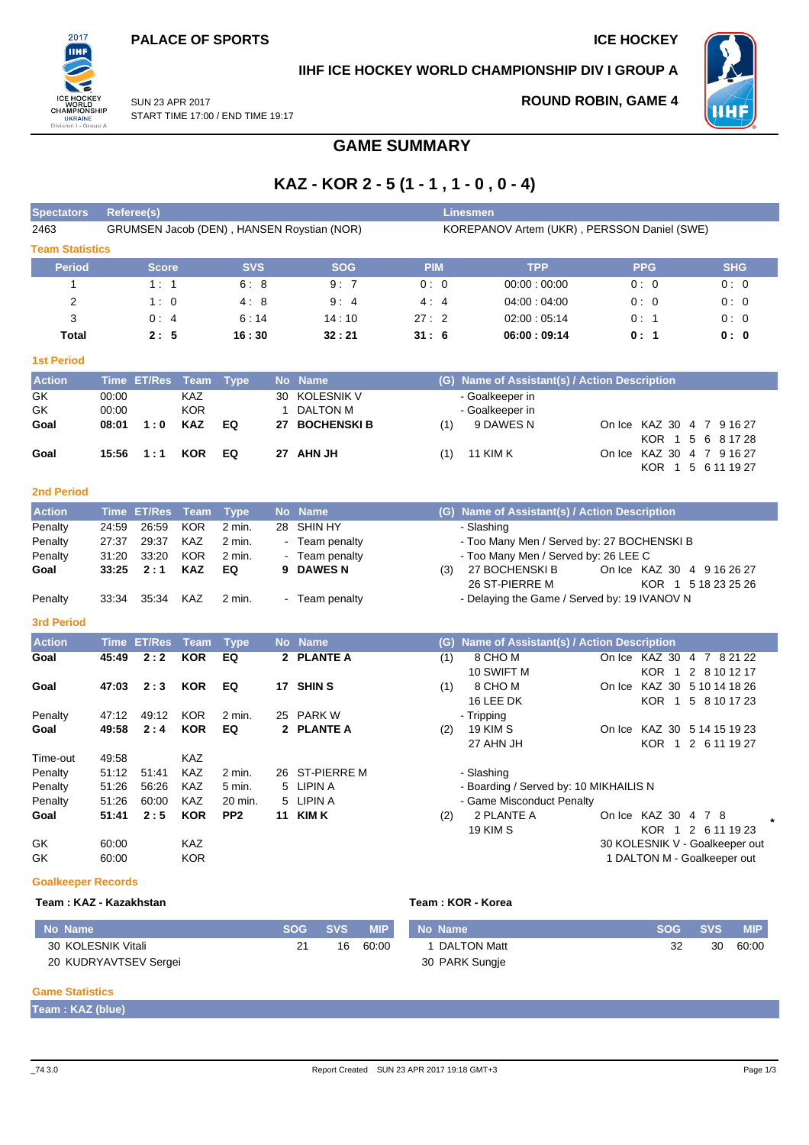

#### **IIHF ICE HOCKEY WORLD CHAMPIONSHIP DIV I GROUP A**



SUN 23 APR 2017 START TIME 17:00 / END TIME 19:17

# **ROUND ROBIN, GAME 4**

# **GAME SUMMARY**

## **KAZ - KOR 2 - 5 (1 - 1 , 1 - 0 , 0 - 4)**

| <b>Spectators</b>         |             | <b>Referee(s)</b> |             |                 |              |                                            |            |                                             | <b>Linesmen</b>                               |                                |                     |  |  |  |  |  |
|---------------------------|-------------|-------------------|-------------|-----------------|--------------|--------------------------------------------|------------|---------------------------------------------|-----------------------------------------------|--------------------------------|---------------------|--|--|--|--|--|
| 2463                      |             |                   |             |                 |              | GRUMSEN Jacob (DEN), HANSEN Roystian (NOR) |            | KOREPANOV Artem (UKR), PERSSON Daniel (SWE) |                                               |                                |                     |  |  |  |  |  |
| <b>Team Statistics</b>    |             |                   |             |                 |              |                                            |            |                                             |                                               |                                |                     |  |  |  |  |  |
| <b>Period</b>             |             | <b>Score</b>      |             | <b>SVS</b>      |              | <b>SOG</b>                                 | <b>PIM</b> |                                             | <b>TPP</b>                                    | <b>PPG</b>                     | <b>SHG</b>          |  |  |  |  |  |
| 1                         |             | 1:1               |             | 6:8             |              | 9:7                                        | 0:0        |                                             | 00:00:00:00                                   | 0:0                            | 0:0                 |  |  |  |  |  |
| $\overline{2}$            |             | 1:0               |             | 4:8             |              | 9:4                                        | 4:4        |                                             | 04:00:04:00                                   | 0:0                            | 0:0                 |  |  |  |  |  |
| 3                         |             | 0:4               |             | 6:14            |              | 14:10                                      | 27:2       |                                             | 02:00:05:14                                   | 0:1                            | 0: 0                |  |  |  |  |  |
| <b>Total</b>              |             | 2:5               |             | 16:30           |              | 32:21                                      | 31:6       |                                             | 06:00:09:14                                   | 0:1                            | 0:0                 |  |  |  |  |  |
| <b>1st Period</b>         |             |                   |             |                 |              |                                            |            |                                             |                                               |                                |                     |  |  |  |  |  |
| <b>Action</b>             |             | Time ET/Res       | Team        | <b>Type</b>     |              | No Name                                    |            |                                             | (G) Name of Assistant(s) / Action Description |                                |                     |  |  |  |  |  |
| GK                        | 00:00       |                   | KAZ         |                 | 30           | <b>KOLESNIK V</b>                          |            |                                             | - Goalkeeper in                               |                                |                     |  |  |  |  |  |
| GK                        | 00:00       |                   | KOR         |                 | $\mathbf{1}$ | <b>DALTON M</b>                            |            |                                             | - Goalkeeper in                               |                                |                     |  |  |  |  |  |
| Goal                      | 08:01       | 1:0               | <b>KAZ</b>  | EQ              | 27           | <b>BOCHENSKI B</b>                         |            | (1)                                         | 9 DAWES N                                     | On Ice KAZ 30 4 7 9 16 27      |                     |  |  |  |  |  |
|                           |             |                   |             |                 |              |                                            |            |                                             |                                               |                                | KOR 1 5 6 8 17 28   |  |  |  |  |  |
| Goal                      | 15:56       | 1:1               | <b>KOR</b>  | EQ              |              | 27 AHN JH                                  |            | (1)                                         | <b>11 KIM K</b>                               | On Ice KAZ 30 4 7 9 16 27      |                     |  |  |  |  |  |
|                           |             |                   |             |                 |              |                                            |            |                                             |                                               |                                | KOR 1 5 6 11 19 27  |  |  |  |  |  |
| <b>2nd Period</b>         |             |                   |             |                 |              |                                            |            |                                             |                                               |                                |                     |  |  |  |  |  |
| <b>Action</b>             |             | Time ET/Res       | Team        | <b>Type</b>     |              | No Name                                    |            |                                             | (G) Name of Assistant(s) / Action Description |                                |                     |  |  |  |  |  |
| Penalty                   | 24:59       | 26:59             | <b>KOR</b>  | $2$ min.        | 28           | SHIN HY                                    |            |                                             | - Slashing                                    |                                |                     |  |  |  |  |  |
| Penalty                   | 27:37       | 29:37             | <b>KAZ</b>  | $2$ min.        |              | Team penalty                               |            |                                             | - Too Many Men / Served by: 27 BOCHENSKI B    |                                |                     |  |  |  |  |  |
| Penalty                   | 31:20       | 33:20             | <b>KOR</b>  | 2 min.          |              | Team penalty                               |            |                                             | - Too Many Men / Served by: 26 LEE C          |                                |                     |  |  |  |  |  |
| Goal                      | 33:25       | 2:1               | <b>KAZ</b>  | EQ              | 9            | <b>DAWES N</b>                             |            | (3)                                         | 27 BOCHENSKI B                                | On Ice KAZ 30 4 9 16 26 27     |                     |  |  |  |  |  |
|                           |             |                   |             |                 |              |                                            |            |                                             | 26 ST-PIERRE M                                |                                | KOR 1 5 18 23 25 26 |  |  |  |  |  |
| Penalty                   | 33:34       | 35:34             | KAZ         | 2 min.          |              | - Team penalty                             |            |                                             | - Delaying the Game / Served by: 19 IVANOV N  |                                |                     |  |  |  |  |  |
| <b>3rd Period</b>         |             |                   |             |                 |              |                                            |            |                                             |                                               |                                |                     |  |  |  |  |  |
|                           |             |                   |             |                 |              |                                            |            |                                             |                                               |                                |                     |  |  |  |  |  |
| <b>Action</b>             | <b>Time</b> | <b>ET/Res</b>     | <b>Team</b> | <b>Type</b>     |              | No Name                                    |            | (G)                                         | Name of Assistant(s) / Action Description     |                                |                     |  |  |  |  |  |
| Goal                      | 45:49       | 2:2               | <b>KOR</b>  | EQ              | $\mathbf{2}$ | <b>PLANTE A</b>                            |            | (1)                                         | 8 CHO M<br>10 SWIFT M                         | On Ice KAZ 30 4 7 8 21 22      | KOR 1 2 8 10 12 17  |  |  |  |  |  |
| Goal                      | 47:03       | 2:3               | <b>KOR</b>  | EQ              |              | 17 SHIN S                                  |            | (1)                                         | 8 CHO M                                       | On Ice KAZ 30 5 10 14 18 26    |                     |  |  |  |  |  |
|                           |             |                   |             |                 |              |                                            |            |                                             | 16 LEE DK                                     |                                | KOR 1 5 8 10 17 23  |  |  |  |  |  |
| Penalty                   | 47:12       | 49:12             | <b>KOR</b>  | 2 min.          | 25           | <b>PARK W</b>                              |            |                                             | - Tripping                                    |                                |                     |  |  |  |  |  |
| Goal                      | 49:58       | 2:4               | <b>KOR</b>  | EQ              |              | 2 PLANTE A                                 |            | (2)                                         | <b>19 KIM S</b>                               | On Ice KAZ 30 5 14 15 19 23    |                     |  |  |  |  |  |
|                           |             |                   |             |                 |              |                                            |            |                                             | 27 AHN JH                                     |                                | KOR 1 2 6 11 19 27  |  |  |  |  |  |
| Time-out                  | 49:58       |                   | <b>KAZ</b>  |                 |              |                                            |            |                                             |                                               |                                |                     |  |  |  |  |  |
| Penalty                   | 51:12       | 51:41             | <b>KAZ</b>  | 2 min.          |              | 26 ST-PIERRE M                             |            |                                             | - Slashing                                    |                                |                     |  |  |  |  |  |
| Penalty                   | 51:26       | 56:26             | <b>KAZ</b>  | 5 min.          | 5            | LIPIN A                                    |            |                                             | - Boarding / Served by: 10 MIKHAILIS N        |                                |                     |  |  |  |  |  |
| Penalty                   | 51:26       | 60:00             | KAZ         | 20 min.         | 5            | LIPIN A                                    |            |                                             | - Game Misconduct Penalty                     |                                |                     |  |  |  |  |  |
| Goal                      | 51:41       | 2:5               | <b>KOR</b>  | PP <sub>2</sub> |              | <b>11 KIM K</b>                            |            | (2)                                         | 2 PLANTE A                                    | On Ice KAZ 30 4 7 8            | $\star$             |  |  |  |  |  |
|                           |             |                   |             |                 |              |                                            |            |                                             | <b>19 KIM S</b>                               |                                | KOR 1 2 6 11 19 23  |  |  |  |  |  |
| GK                        | 60:00       |                   | <b>KAZ</b>  |                 |              |                                            |            |                                             |                                               | 30 KOLESNIK V - Goalkeeper out |                     |  |  |  |  |  |
| GK                        | 60:00       |                   | <b>KOR</b>  |                 |              |                                            |            |                                             |                                               | 1 DALTON M - Goalkeeper out    |                     |  |  |  |  |  |
| <b>Goalkeeper Records</b> |             |                   |             |                 |              |                                            |            |                                             |                                               |                                |                     |  |  |  |  |  |

#### **Team : KAZ - Kazakhstan Team : KOR - Korea**

| No Name               | <b>SOG</b> | <b>SVS</b> | <b>MIP</b> | No Name        | <b>SOG</b> | <b>SVS</b> | <b>MIP</b> |
|-----------------------|------------|------------|------------|----------------|------------|------------|------------|
| 30 KOLESNIK Vitali    |            | 16         | 60:00      | DALTON Matt    |            | 30         | 60:00      |
| 20 KUDRYAVTSEV Sergei |            |            |            | 30 PARK Sungje |            |            |            |

#### **Game Statistics**

**Team : KAZ (blue)**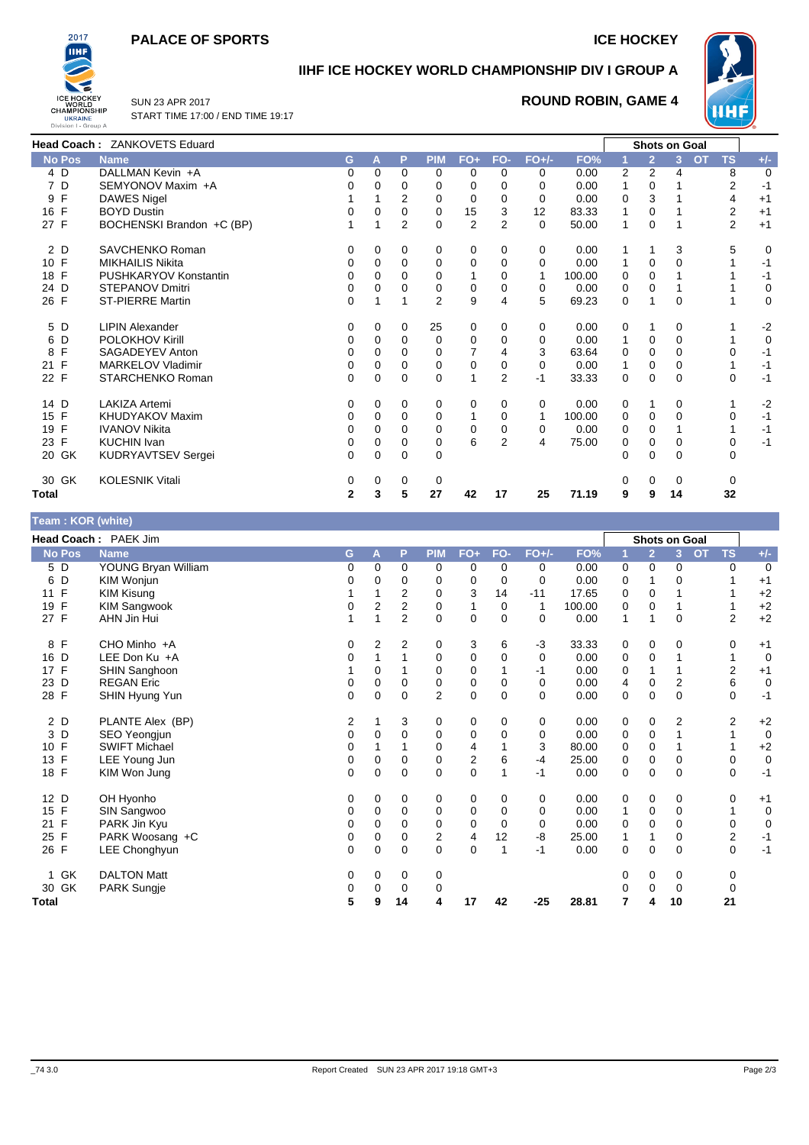#### **PALACE OF SPORTS ICE HOCKEY**



#### **IIHF ICE HOCKEY WORLD CHAMPIONSHIP DIV I GROUP A**



SUN 23 APR 2017 START TIME 17:00 / END TIME 19:17

#### **ROUND ROBIN, GAME 4**

|                 | Head Coach: ZANKOVETS Eduard |          |          |                |                |                |                |          |        |                |                | Shots on Goal  |                |             |
|-----------------|------------------------------|----------|----------|----------------|----------------|----------------|----------------|----------|--------|----------------|----------------|----------------|----------------|-------------|
| <b>No Pos</b>   | <b>Name</b>                  | G.       | A        | P              | <b>PIM</b>     | $FO+$          | FO-            | $FO+/-$  | FO%    |                | $\overline{2}$ | <b>OT</b><br>3 | <b>TS</b>      | $+/-$       |
| $4\overline{D}$ | DALLMAN Kevin +A             | 0        | 0        | 0              | 0              | 0              | 0              | 0        | 0.00   | $\overline{2}$ | 2              | 4              | 8              | 0           |
| 7 D             | SEMYONOV Maxim +A            |          | 0        | 0              | $\Omega$       | 0              | $\Omega$       | 0        | 0.00   | 1              | 0              |                | 2              | $-1$        |
| F<br>9          | <b>DAWES Nigel</b>           |          |          | 2              | 0              | $\Omega$       | $\Omega$       | $\Omega$ | 0.00   | 0              | 3              |                | 4              | $+1$        |
| 16 F            | <b>BOYD Dustin</b>           |          | 0        | $\Omega$       | $\Omega$       | 15             | 3              | 12       | 83.33  | 1              | $\Omega$       |                | 2              | $+1$        |
| 27 F            | BOCHENSKI Brandon +C (BP)    |          |          | $\overline{2}$ | $\Omega$       | $\overline{2}$ | $\overline{2}$ | $\Omega$ | 50.00  | $\mathbf{1}$   | 0              |                | $\overline{2}$ | $+1$        |
| 2 D             | SAVCHENKO Roman              | 0        | 0        | 0              | 0              | 0              | 0              | 0        | 0.00   |                |                | 3              | 5              | $\mathbf 0$ |
| 10 F            | <b>MIKHAILIS Nikita</b>      | $\Omega$ | $\Omega$ | $\mathbf 0$    | $\mathbf 0$    | $\Omega$       | $\mathbf 0$    | $\Omega$ | 0.00   | $\mathbf{1}$   | $\Omega$       | O              |                | $-1$        |
| 18 F            | PUSHKARYOV Konstantin        | 0        | 0        | $\Omega$       | 0              |                | $\Omega$       | 1        | 100.00 | 0              | $\Omega$       |                |                | $-1$        |
| 24 D            | <b>STEPANOV Dmitri</b>       | 0        | 0        | 0              | 0              | 0              | $\mathbf 0$    | 0        | 0.00   | 0              | 0              |                |                | 0           |
| 26 F            | <b>ST-PIERRE Martin</b>      | $\Omega$ |          | 1              | $\overline{2}$ | 9              | 4              | 5        | 69.23  | 0              |                | $\Omega$       |                | 0           |
| 5 D             | <b>LIPIN Alexander</b>       | 0        | 0        | 0              | 25             | 0              | $\mathbf 0$    | 0        | 0.00   | 0              |                | 0              |                | $-2$        |
| 6<br>D          | POLOKHOV Kirill              | $\Omega$ | $\Omega$ | $\Omega$       | $\Omega$       | $\Omega$       | $\Omega$       | $\Omega$ | 0.00   | $\mathbf{1}$   | $\Omega$       | $\Omega$       |                | $\mathbf 0$ |
| 8 F             | SAGADEYEV Anton              | 0        | 0        | 0              | 0              |                | 4              | 3        | 63.64  | 0              | 0              | 0              | 0              | $-1$        |
| 21 F            | MARKELOV Vladimir            | 0        | $\Omega$ | 0              | 0              | 0              | 0              | 0        | 0.00   | $\mathbf{1}$   | $\Omega$       | 0              |                | $-1$        |
| 22 F            | STARCHENKO Roman             | 0        | $\Omega$ | $\Omega$       | $\Omega$       |                | $\overline{2}$ | $-1$     | 33.33  | 0              | $\Omega$       | $\Omega$       | $\Omega$       | $-1$        |
| 14 D            | <b>LAKIZA Artemi</b>         | 0        | 0        | 0              | 0              | 0              | $\mathbf 0$    | 0        | 0.00   | 0              |                | 0              |                | $-2$        |
| 15 F            | KHUDYAKOV Maxim              | 0        | 0        | $\mathbf 0$    | 0              |                | $\mathbf 0$    |          | 100.00 | 0              | 0              | 0              | 0              | $-1$        |
| 19 F            | <b>IVANOV Nikita</b>         | 0        | $\Omega$ | $\mathbf 0$    | $\mathbf 0$    | 0              | 0              | 0        | 0.00   | 0              | $\mathbf 0$    |                |                | $-1$        |
| 23 F            | <b>KUCHIN Ivan</b>           | 0        | 0        | $\Omega$       | 0              | 6              | $\overline{2}$ | 4        | 75.00  | 0              | $\Omega$       | 0              | 0              | $-1$        |
| 20 GK           | KUDRYAVTSEV Sergei           | $\Omega$ | 0        | 0              | 0              |                |                |          |        | 0              | $\Omega$       | $\Omega$       | $\Omega$       |             |
| 30 GK           | <b>KOLESNIK Vitali</b>       | 0        | $\Omega$ | $\mathbf 0$    | $\Omega$       |                |                |          |        | $\Omega$       | $\Omega$       | $\Omega$       | $\Omega$       |             |
| <b>Total</b>    |                              | 2        | 3        | 5              | 27             | 42             | 17             | 25       | 71.19  | 9              | 9              | 14             | 32             |             |

## **Team : KOR (white)**

| $\mu$ really . Non (writte) |                      |   |                |                |            |             |             |         |        |   |                |                      |                        |                        |
|-----------------------------|----------------------|---|----------------|----------------|------------|-------------|-------------|---------|--------|---|----------------|----------------------|------------------------|------------------------|
|                             | Head Coach: PAEK Jim |   |                |                |            |             |             |         |        |   |                | <b>Shots on Goal</b> |                        |                        |
| <b>No Pos</b>               | <b>Name</b>          | G | A              | P              | <b>PIM</b> | $FO+$       | FO-         | $FO+/-$ | FO%    | 1 | $\overline{2}$ | 3 <sup>2</sup>       | <b>OT</b><br><b>TS</b> | $+/-$                  |
| 5 D                         | YOUNG Bryan William  | 0 | $\Omega$       | 0              | 0          | 0           | 0           | 0       | 0.00   | 0 | 0              | 0                    |                        | $\mathbf 0$<br>0       |
| D<br>6                      | KIM Wonjun           | 0 | 0              | 0              | 0          | 0           | 0           | 0       | 0.00   | 0 |                | 0                    |                        | $+1$                   |
| $\mathsf{F}$<br>11          | KIM Kisung           |   |                | 2              | 0          | 3           | 14          | $-11$   | 17.65  | 0 | $\mathbf 0$    |                      |                        | $+2$                   |
| 19 F                        | <b>KIM Sangwook</b>  | 0 | $\overline{2}$ | 2              | 0          | 1           | 0           | 1       | 100.00 | 0 | $\mathbf 0$    |                      |                        | $+2$                   |
| 27 F                        | AHN Jin Hui          |   | 1              | 2              | $\Omega$   | $\mathbf 0$ | $\Omega$    | 0       | 0.00   | 1 | 1              | $\Omega$             |                        | $+2$<br>2              |
| 8 F                         | CHO Minho +A         | 0 | 2              | $\overline{2}$ | 0          | 3           | 6           | $-3$    | 33.33  | 0 | 0              | 0                    |                        | 0<br>$+1$              |
| 16 D                        | LEE Don Ku +A        | 0 |                |                | 0          | $\mathbf 0$ | $\mathbf 0$ | 0       | 0.00   | 0 | $\mathbf 0$    |                      |                        | $\mathbf 0$            |
| 17 F                        | SHIN Sanghoon        |   | 0              |                | 0          | 0           |             | $-1$    | 0.00   | 0 |                |                      |                        | $\overline{2}$<br>$+1$ |
| 23 D                        | <b>REGAN Eric</b>    | 0 | 0              | 0              | 0          | $\pmb{0}$   | $\mathbf 0$ | 0       | 0.00   | 4 | 0              | 2                    |                        | 6<br>0                 |
| 28 F                        | SHIN Hyung Yun       | 0 | 0              | $\mathbf 0$    | 2          | $\mathbf 0$ | $\mathbf 0$ | 0       | 0.00   | 0 | $\mathbf 0$    | 0                    |                        | $-1$<br>0              |
| 2 D                         | PLANTE Alex (BP)     | 2 |                | 3              | 0          | 0           | $\mathbf 0$ | 0       | 0.00   | 0 | 0              | 2                    |                        | $+2$<br>2              |
| 3 D                         | SEO Yeongjun         | 0 | 0              | $\mathbf 0$    | 0          | 0           | $\mathbf 0$ | 0       | 0.00   | 0 | $\mathbf 0$    |                      |                        | $\mathbf 0$            |
| 10 F                        | <b>SWIFT Michael</b> | 0 |                |                | 0          | 4           |             | 3       | 80.00  | 0 | $\mathbf 0$    |                      |                        | $+2$                   |
| 13 F                        | LEE Young Jun        | 0 | 0              | 0              | 0          | 2           | 6           | $-4$    | 25.00  | 0 | $\mathbf 0$    | 0                    |                        | $\pmb{0}$<br>0         |
| 18 F                        | KIM Won Jung         | 0 | 0              | $\mathbf 0$    | 0          | $\mathbf 0$ |             | $-1$    | 0.00   | 0 | $\mathbf 0$    | 0                    |                        | $-1$<br>0              |
| 12 D                        | OH Hyonho            | 0 | 0              | 0              | 0          | 0           | 0           | 0       | 0.00   | 0 | 0              | 0                    |                        | $+1$<br>0              |
| 15 F                        | SIN Sangwoo          | 0 | 0              | 0              | 0          | 0           | 0           | 0       | 0.00   | 1 | 0              | 0                    |                        | $\mathbf 0$            |
| F<br>21                     | PARK Jin Kyu         | 0 | 0              | $\mathbf 0$    | 0          | 0           | $\mathbf 0$ | 0       | 0.00   | 0 | $\mathbf 0$    | 0                    |                        | 0<br>0                 |
| 25 F                        | PARK Woosang +C      | 0 | 0              | $\mathbf 0$    | 2          | 4           | 12          | -8      | 25.00  | 1 | 1              | 0                    |                        | 2<br>$-1$              |
| 26 F                        | LEE Chonghyun        | 0 | $\mathbf 0$    | $\mathbf 0$    | 0          | 0           | 1           | $-1$    | 0.00   | 0 | $\mathbf 0$    | 0                    |                        | $-1$<br>0              |
| 1 GK                        | <b>DALTON Matt</b>   | 0 | 0              | 0              | 0          |             |             |         |        | 0 | 0              | 0                    |                        | 0                      |
| 30 GK                       | PARK Sungje          | 0 | 0              | $\mathbf 0$    | 0          |             |             |         |        | ი | 0              | 0                    |                        | 0                      |
| Total                       |                      | 5 | 9              | 14             | 4          | 17          | 42          | $-25$   | 28.81  | 7 | 4              | 10                   | 21                     |                        |